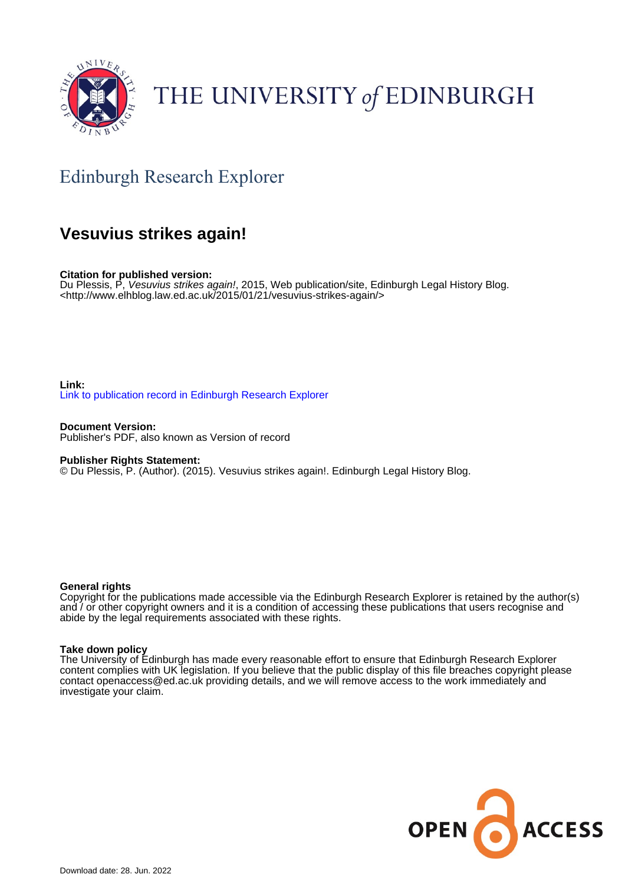

# THE UNIVERSITY of EDINBURGH

## Edinburgh Research Explorer

### **Vesuvius strikes again!**

**Citation for published version:**

Du Plessis, P, Vesuvius strikes again!, 2015, Web publication/site, Edinburgh Legal History Blog. <<http://www.elhblog.law.ed.ac.uk/2015/01/21/vesuvius-strikes-again/>>

**Link:** [Link to publication record in Edinburgh Research Explorer](https://www.research.ed.ac.uk/en/publications/78c7f82d-8ed0-4eff-960a-80192ead295c)

**Document Version:** Publisher's PDF, also known as Version of record

**Publisher Rights Statement:**

© Du Plessis, P. (Author). (2015). Vesuvius strikes again!. Edinburgh Legal History Blog.

#### **General rights**

Copyright for the publications made accessible via the Edinburgh Research Explorer is retained by the author(s) and / or other copyright owners and it is a condition of accessing these publications that users recognise and abide by the legal requirements associated with these rights.

#### **Take down policy**

The University of Edinburgh has made every reasonable effort to ensure that Edinburgh Research Explorer content complies with UK legislation. If you believe that the public display of this file breaches copyright please contact openaccess@ed.ac.uk providing details, and we will remove access to the work immediately and investigate your claim.